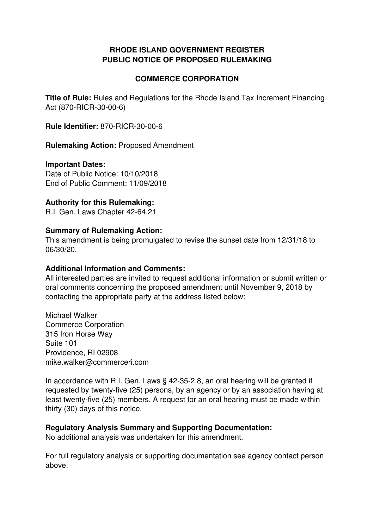#### **RHODE ISLAND GOVERNMENT REGISTER PUBLIC NOTICE OF PROPOSED RULEMAKING**

#### **COMMERCE CORPORATION**

**Title of Rule:** Rules and Regulations for the Rhode Island Tax Increment Financing Act (870-RICR-30-00-6)

**Rule Identifier:** 870-RICR-30-00-6

**Rulemaking Action:** Proposed Amendment

#### **Important Dates:**

Date of Public Notice: 10/10/2018 End of Public Comment: 11/09/2018

#### **Authority for this Rulemaking:**

R.I. Gen. Laws Chapter 42-64.21

#### **Summary of Rulemaking Action:**

This amendment is being promulgated to revise the sunset date from 12/31/18 to 06/30/20.

#### **Additional Information and Comments:**

All interested parties are invited to request additional information or submit written or oral comments concerning the proposed amendment until November 9, 2018 by contacting the appropriate party at the address listed below:

Michael Walker Commerce Corporation 315 Iron Horse Way Suite 101 Providence, RI 02908 mike.walker@commerceri.com

In accordance with R.I. Gen. Laws § 42-35-2.8, an oral hearing will be granted if requested by twenty-five (25) persons, by an agency or by an association having at least twenty-five (25) members. A request for an oral hearing must be made within thirty (30) days of this notice.

#### **Regulatory Analysis Summary and Supporting Documentation:**

No additional analysis was undertaken for this amendment.

For full regulatory analysis or supporting documentation see agency contact person above.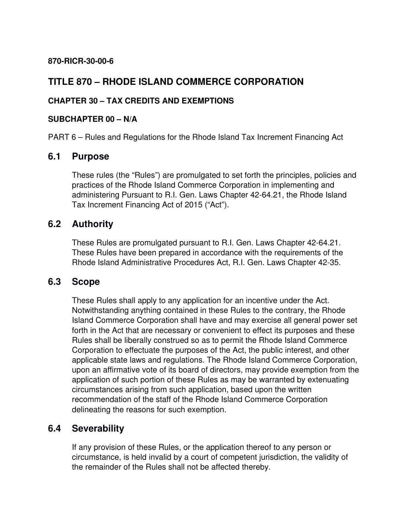#### **870-RICR-30-00-6**

### **TITLE 870 – RHODE ISLAND COMMERCE CORPORATION**

#### **CHAPTER 30 – TAX CREDITS AND EXEMPTIONS**

#### **SUBCHAPTER 00 – N/A**

PART 6 – Rules and Regulations for the Rhode Island Tax Increment Financing Act

### **6.1 Purpose**

These rules (the "Rules") are promulgated to set forth the principles, policies and practices of the Rhode Island Commerce Corporation in implementing and administering Pursuant to R.I. Gen. Laws Chapter 42-64.21, the Rhode Island Tax Increment Financing Act of 2015 ("Act").

### **6.2 Authority**

These Rules are promulgated pursuant to R.I. Gen. Laws Chapter 42-64.21. These Rules have been prepared in accordance with the requirements of the Rhode Island Administrative Procedures Act, R.I. Gen. Laws Chapter 42-35.

#### **6.3 Scope**

These Rules shall apply to any application for an incentive under the Act. Notwithstanding anything contained in these Rules to the contrary, the Rhode Island Commerce Corporation shall have and may exercise all general power set forth in the Act that are necessary or convenient to effect its purposes and these Rules shall be liberally construed so as to permit the Rhode Island Commerce Corporation to effectuate the purposes of the Act, the public interest, and other applicable state laws and regulations. The Rhode Island Commerce Corporation, upon an affirmative vote of its board of directors, may provide exemption from the application of such portion of these Rules as may be warranted by extenuating circumstances arising from such application, based upon the written recommendation of the staff of the Rhode Island Commerce Corporation delineating the reasons for such exemption.

### **6.4 Severability**

If any provision of these Rules, or the application thereof to any person or circumstance, is held invalid by a court of competent jurisdiction, the validity of the remainder of the Rules shall not be affected thereby.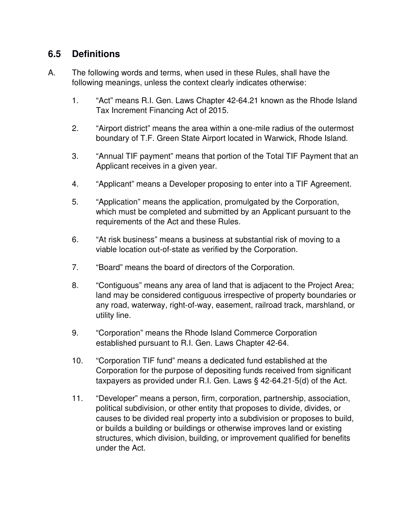# **6.5 Definitions**

- A. The following words and terms, when used in these Rules, shall have the following meanings, unless the context clearly indicates otherwise:
	- 1. "Act" means R.I. Gen. Laws Chapter 42-64.21 known as the Rhode Island Tax Increment Financing Act of 2015.
	- 2. "Airport district" means the area within a one-mile radius of the outermost boundary of T.F. Green State Airport located in Warwick, Rhode Island.
	- 3. "Annual TIF payment" means that portion of the Total TIF Payment that an Applicant receives in a given year.
	- 4. "Applicant" means a Developer proposing to enter into a TIF Agreement.
	- 5. "Application" means the application, promulgated by the Corporation, which must be completed and submitted by an Applicant pursuant to the requirements of the Act and these Rules.
	- 6. "At risk business" means a business at substantial risk of moving to a viable location out-of-state as verified by the Corporation.
	- 7. "Board" means the board of directors of the Corporation.
	- 8. "Contiguous" means any area of land that is adjacent to the Project Area; land may be considered contiguous irrespective of property boundaries or any road, waterway, right-of-way, easement, railroad track, marshland, or utility line.
	- 9. "Corporation" means the Rhode Island Commerce Corporation established pursuant to R.I. Gen. Laws Chapter 42-64.
	- 10. "Corporation TIF fund" means a dedicated fund established at the Corporation for the purpose of depositing funds received from significant taxpayers as provided under R.I. Gen. Laws § 42-64.21-5(d) of the Act.
	- 11. "Developer" means a person, firm, corporation, partnership, association, political subdivision, or other entity that proposes to divide, divides, or causes to be divided real property into a subdivision or proposes to build, or builds a building or buildings or otherwise improves land or existing structures, which division, building, or improvement qualified for benefits under the Act.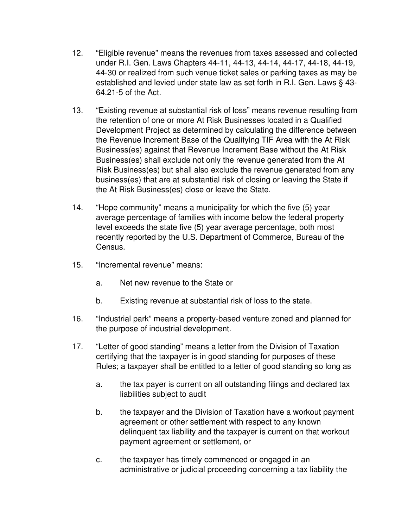- 12. "Eligible revenue" means the revenues from taxes assessed and collected under R.I. Gen. Laws Chapters 44-11, 44-13, 44-14, 44-17, 44-18, 44-19, 44-30 or realized from such venue ticket sales or parking taxes as may be established and levied under state law as set forth in R.I. Gen. Laws § 43- 64.21-5 of the Act.
- 13. "Existing revenue at substantial risk of loss" means revenue resulting from the retention of one or more At Risk Businesses located in a Qualified Development Project as determined by calculating the difference between the Revenue Increment Base of the Qualifying TIF Area with the At Risk Business(es) against that Revenue Increment Base without the At Risk Business(es) shall exclude not only the revenue generated from the At Risk Business(es) but shall also exclude the revenue generated from any business(es) that are at substantial risk of closing or leaving the State if the At Risk Business(es) close or leave the State.
- 14. "Hope community" means a municipality for which the five (5) year average percentage of families with income below the federal property level exceeds the state five (5) year average percentage, both most recently reported by the U.S. Department of Commerce, Bureau of the Census.
- 15. "Incremental revenue" means:
	- a. Net new revenue to the State or
	- b. Existing revenue at substantial risk of loss to the state.
- 16. "Industrial park" means a property-based venture zoned and planned for the purpose of industrial development.
- 17. "Letter of good standing" means a letter from the Division of Taxation certifying that the taxpayer is in good standing for purposes of these Rules; a taxpayer shall be entitled to a letter of good standing so long as
	- a. the tax payer is current on all outstanding filings and declared tax liabilities subject to audit
	- b. the taxpayer and the Division of Taxation have a workout payment agreement or other settlement with respect to any known delinquent tax liability and the taxpayer is current on that workout payment agreement or settlement, or
	- c. the taxpayer has timely commenced or engaged in an administrative or judicial proceeding concerning a tax liability the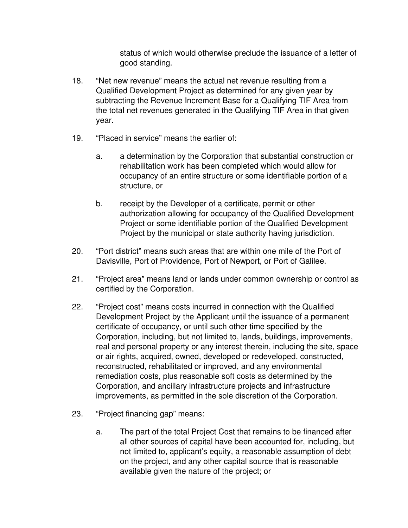status of which would otherwise preclude the issuance of a letter of good standing.

- 18. "Net new revenue" means the actual net revenue resulting from a Qualified Development Project as determined for any given year by subtracting the Revenue Increment Base for a Qualifying TIF Area from the total net revenues generated in the Qualifying TIF Area in that given year.
- 19. "Placed in service" means the earlier of:
	- a. a determination by the Corporation that substantial construction or rehabilitation work has been completed which would allow for occupancy of an entire structure or some identifiable portion of a structure, or
	- b. receipt by the Developer of a certificate, permit or other authorization allowing for occupancy of the Qualified Development Project or some identifiable portion of the Qualified Development Project by the municipal or state authority having jurisdiction.
- 20. "Port district" means such areas that are within one mile of the Port of Davisville, Port of Providence, Port of Newport, or Port of Galilee.
- 21. "Project area" means land or lands under common ownership or control as certified by the Corporation.
- 22. "Project cost" means costs incurred in connection with the Qualified Development Project by the Applicant until the issuance of a permanent certificate of occupancy, or until such other time specified by the Corporation, including, but not limited to, lands, buildings, improvements, real and personal property or any interest therein, including the site, space or air rights, acquired, owned, developed or redeveloped, constructed, reconstructed, rehabilitated or improved, and any environmental remediation costs, plus reasonable soft costs as determined by the Corporation, and ancillary infrastructure projects and infrastructure improvements, as permitted in the sole discretion of the Corporation.
- 23. "Project financing gap" means:
	- a. The part of the total Project Cost that remains to be financed after all other sources of capital have been accounted for, including, but not limited to, applicant's equity, a reasonable assumption of debt on the project, and any other capital source that is reasonable available given the nature of the project; or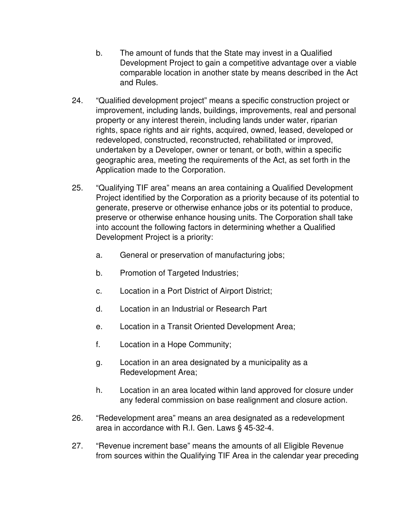- b. The amount of funds that the State may invest in a Qualified Development Project to gain a competitive advantage over a viable comparable location in another state by means described in the Act and Rules.
- 24. "Qualified development project" means a specific construction project or improvement, including lands, buildings, improvements, real and personal property or any interest therein, including lands under water, riparian rights, space rights and air rights, acquired, owned, leased, developed or redeveloped, constructed, reconstructed, rehabilitated or improved, undertaken by a Developer, owner or tenant, or both, within a specific geographic area, meeting the requirements of the Act, as set forth in the Application made to the Corporation.
- 25. "Qualifying TIF area" means an area containing a Qualified Development Project identified by the Corporation as a priority because of its potential to generate, preserve or otherwise enhance jobs or its potential to produce, preserve or otherwise enhance housing units. The Corporation shall take into account the following factors in determining whether a Qualified Development Project is a priority:
	- a. General or preservation of manufacturing jobs;
	- b. Promotion of Targeted Industries;
	- c. Location in a Port District of Airport District;
	- d. Location in an Industrial or Research Part
	- e. Location in a Transit Oriented Development Area;
	- f. Location in a Hope Community;
	- g. Location in an area designated by a municipality as a Redevelopment Area;
	- h. Location in an area located within land approved for closure under any federal commission on base realignment and closure action.
- 26. "Redevelopment area" means an area designated as a redevelopment area in accordance with R.I. Gen. Laws § 45-32-4.
- 27. "Revenue increment base" means the amounts of all Eligible Revenue from sources within the Qualifying TIF Area in the calendar year preceding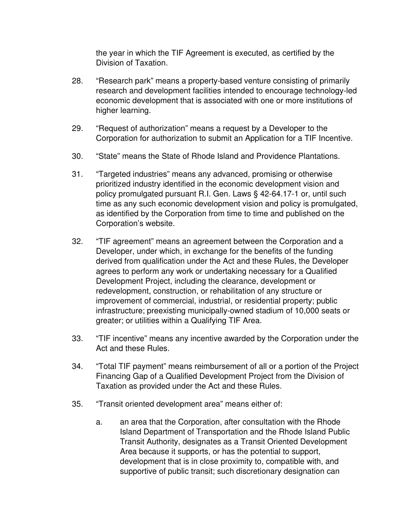the year in which the TIF Agreement is executed, as certified by the Division of Taxation.

- 28. "Research park" means a property-based venture consisting of primarily research and development facilities intended to encourage technology-led economic development that is associated with one or more institutions of higher learning.
- 29. "Request of authorization" means a request by a Developer to the Corporation for authorization to submit an Application for a TIF Incentive.
- 30. "State" means the State of Rhode Island and Providence Plantations.
- 31. "Targeted industries" means any advanced, promising or otherwise prioritized industry identified in the economic development vision and policy promulgated pursuant R.I. Gen. Laws § 42-64.17-1 or, until such time as any such economic development vision and policy is promulgated, as identified by the Corporation from time to time and published on the Corporation's website.
- 32. "TIF agreement" means an agreement between the Corporation and a Developer, under which, in exchange for the benefits of the funding derived from qualification under the Act and these Rules, the Developer agrees to perform any work or undertaking necessary for a Qualified Development Project, including the clearance, development or redevelopment, construction, or rehabilitation of any structure or improvement of commercial, industrial, or residential property; public infrastructure; preexisting municipally-owned stadium of 10,000 seats or greater; or utilities within a Qualifying TIF Area.
- 33. "TIF incentive" means any incentive awarded by the Corporation under the Act and these Rules.
- 34. "Total TIF payment" means reimbursement of all or a portion of the Project Financing Gap of a Qualified Development Project from the Division of Taxation as provided under the Act and these Rules.
- 35. "Transit oriented development area" means either of:
	- a. an area that the Corporation, after consultation with the Rhode Island Department of Transportation and the Rhode Island Public Transit Authority, designates as a Transit Oriented Development Area because it supports, or has the potential to support, development that is in close proximity to, compatible with, and supportive of public transit; such discretionary designation can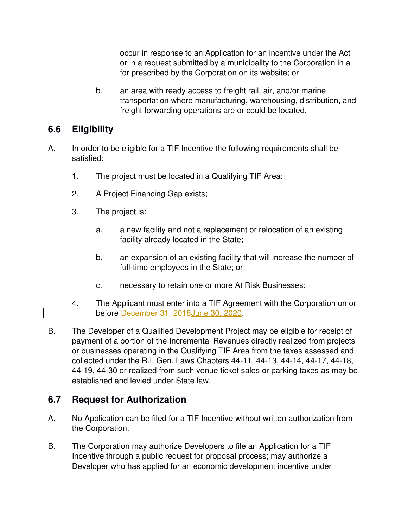occur in response to an Application for an incentive under the Act or in a request submitted by a municipality to the Corporation in a for prescribed by the Corporation on its website; or

b. an area with ready access to freight rail, air, and/or marine transportation where manufacturing, warehousing, distribution, and freight forwarding operations are or could be located.

# **6.6 Eligibility**

- A. In order to be eligible for a TIF Incentive the following requirements shall be satisfied:
	- 1. The project must be located in a Qualifying TIF Area;
	- 2. A Project Financing Gap exists;
	- 3. The project is:
		- a. a new facility and not a replacement or relocation of an existing facility already located in the State;
		- b. an expansion of an existing facility that will increase the number of full-time employees in the State; or
		- c. necessary to retain one or more At Risk Businesses;
	- 4. The Applicant must enter into a TIF Agreement with the Corporation on or before December 31, 2018June 30, 2020.
- B. The Developer of a Qualified Development Project may be eligible for receipt of payment of a portion of the Incremental Revenues directly realized from projects or businesses operating in the Qualifying TIF Area from the taxes assessed and collected under the R.I. Gen. Laws Chapters 44-11, 44-13, 44-14, 44-17, 44-18, 44-19, 44-30 or realized from such venue ticket sales or parking taxes as may be established and levied under State law.

# **6.7 Request for Authorization**

- A. No Application can be filed for a TIF Incentive without written authorization from the Corporation.
- B. The Corporation may authorize Developers to file an Application for a TIF Incentive through a public request for proposal process; may authorize a Developer who has applied for an economic development incentive under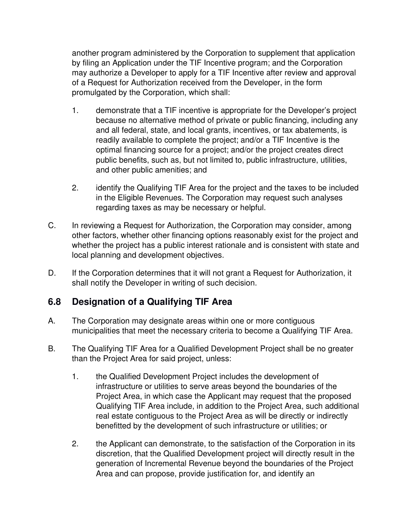another program administered by the Corporation to supplement that application by filing an Application under the TIF Incentive program; and the Corporation may authorize a Developer to apply for a TIF Incentive after review and approval of a Request for Authorization received from the Developer, in the form promulgated by the Corporation, which shall:

- 1. demonstrate that a TIF incentive is appropriate for the Developer's project because no alternative method of private or public financing, including any and all federal, state, and local grants, incentives, or tax abatements, is readily available to complete the project; and/or a TIF Incentive is the optimal financing source for a project; and/or the project creates direct public benefits, such as, but not limited to, public infrastructure, utilities, and other public amenities; and
- 2. identify the Qualifying TIF Area for the project and the taxes to be included in the Eligible Revenues. The Corporation may request such analyses regarding taxes as may be necessary or helpful.
- C. In reviewing a Request for Authorization, the Corporation may consider, among other factors, whether other financing options reasonably exist for the project and whether the project has a public interest rationale and is consistent with state and local planning and development objectives.
- D. If the Corporation determines that it will not grant a Request for Authorization, it shall notify the Developer in writing of such decision.

# **6.8 Designation of a Qualifying TIF Area**

- A. The Corporation may designate areas within one or more contiguous municipalities that meet the necessary criteria to become a Qualifying TIF Area.
- B. The Qualifying TIF Area for a Qualified Development Project shall be no greater than the Project Area for said project, unless:
	- 1. the Qualified Development Project includes the development of infrastructure or utilities to serve areas beyond the boundaries of the Project Area, in which case the Applicant may request that the proposed Qualifying TIF Area include, in addition to the Project Area, such additional real estate contiguous to the Project Area as will be directly or indirectly benefitted by the development of such infrastructure or utilities; or
	- 2. the Applicant can demonstrate, to the satisfaction of the Corporation in its discretion, that the Qualified Development project will directly result in the generation of Incremental Revenue beyond the boundaries of the Project Area and can propose, provide justification for, and identify an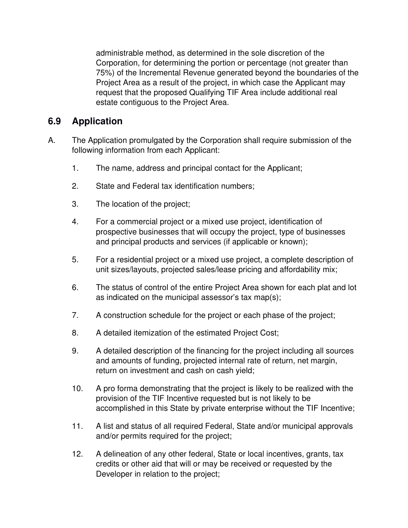administrable method, as determined in the sole discretion of the Corporation, for determining the portion or percentage (not greater than 75%) of the Incremental Revenue generated beyond the boundaries of the Project Area as a result of the project, in which case the Applicant may request that the proposed Qualifying TIF Area include additional real estate contiguous to the Project Area.

### **6.9 Application**

- A. The Application promulgated by the Corporation shall require submission of the following information from each Applicant:
	- 1. The name, address and principal contact for the Applicant;
	- 2. State and Federal tax identification numbers;
	- 3. The location of the project;
	- 4. For a commercial project or a mixed use project, identification of prospective businesses that will occupy the project, type of businesses and principal products and services (if applicable or known);
	- 5. For a residential project or a mixed use project, a complete description of unit sizes/layouts, projected sales/lease pricing and affordability mix;
	- 6. The status of control of the entire Project Area shown for each plat and lot as indicated on the municipal assessor's tax map(s);
	- 7. A construction schedule for the project or each phase of the project;
	- 8. A detailed itemization of the estimated Project Cost;
	- 9. A detailed description of the financing for the project including all sources and amounts of funding, projected internal rate of return, net margin, return on investment and cash on cash yield;
	- 10. A pro forma demonstrating that the project is likely to be realized with the provision of the TIF Incentive requested but is not likely to be accomplished in this State by private enterprise without the TIF Incentive;
	- 11. A list and status of all required Federal, State and/or municipal approvals and/or permits required for the project;
	- 12. A delineation of any other federal, State or local incentives, grants, tax credits or other aid that will or may be received or requested by the Developer in relation to the project;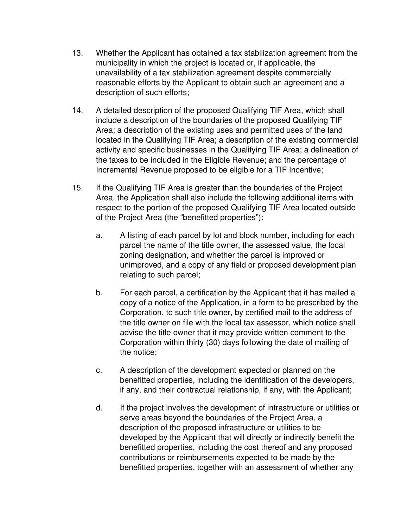- 13. Whether the Applicant has obtained a tax stabilization agreement from the municipality in which the project is located or, if applicable, the unavailability of a tax stabilization agreement despite commercially reasonable efforts by the Applicant to obtain such an agreement and a description of such efforts;
- 14. A detailed description of the proposed Qualifying TIF Area, which shall include a description of the boundaries of the proposed Qualifying TIF Area; a description of the existing uses and permitted uses of the land located in the Qualifying TIF Area; a description of the existing commercial activity and specific businesses in the Qualifying TIF Area; a delineation of the taxes to be included in the Eligible Revenue; and the percentage of Incremental Revenue proposed to be eligible for a TIF Incentive;
- 15. If the Qualifying TIF Area is greater than the boundaries of the Project Area, the Application shall also include the following additional items with respect to the portion of the proposed Qualifying TIF Area located outside of the Project Area (the "benefitted properties"):
	- a. A listing of each parcel by lot and block number, including for each parcel the name of the title owner, the assessed value, the local zoning designation, and whether the parcel is improved or unimproved, and a copy of any field or proposed development plan relating to such parcel;
	- b. For each parcel, a certification by the Applicant that it has mailed a copy of a notice of the Application, in a form to be prescribed by the Corporation, to such title owner, by certified mail to the address of the title owner on file with the local tax assessor, which notice shall advise the title owner that it may provide written comment to the Corporation within thirty (30) days following the date of mailing of the notice;
	- c. A description of the development expected or planned on the benefitted properties, including the identification of the developers, if any, and their contractual relationship, if any, with the Applicant;
	- d. If the project involves the development of infrastructure or utilities or serve areas beyond the boundaries of the Project Area, a description of the proposed infrastructure or utilities to be developed by the Applicant that will directly or indirectly benefit the benefitted properties, including the cost thereof and any proposed contributions or reimbursements expected to be made by the benefitted properties, together with an assessment of whether any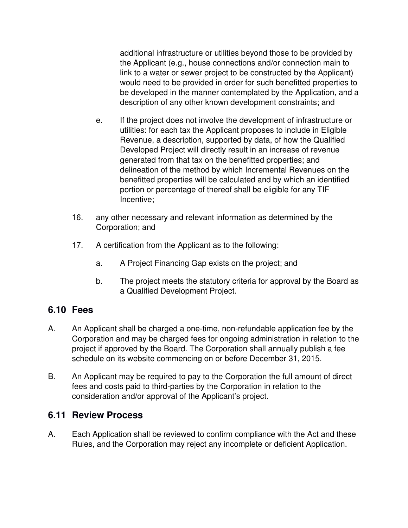additional infrastructure or utilities beyond those to be provided by the Applicant (e.g., house connections and/or connection main to link to a water or sewer project to be constructed by the Applicant) would need to be provided in order for such benefitted properties to be developed in the manner contemplated by the Application, and a description of any other known development constraints; and

- e. If the project does not involve the development of infrastructure or utilities: for each tax the Applicant proposes to include in Eligible Revenue, a description, supported by data, of how the Qualified Developed Project will directly result in an increase of revenue generated from that tax on the benefitted properties; and delineation of the method by which Incremental Revenues on the benefitted properties will be calculated and by which an identified portion or percentage of thereof shall be eligible for any TIF Incentive;
- 16. any other necessary and relevant information as determined by the Corporation; and
- 17. A certification from the Applicant as to the following:
	- a. A Project Financing Gap exists on the project; and
	- b. The project meets the statutory criteria for approval by the Board as a Qualified Development Project.

### **6.10 Fees**

- A. An Applicant shall be charged a one-time, non-refundable application fee by the Corporation and may be charged fees for ongoing administration in relation to the project if approved by the Board. The Corporation shall annually publish a fee schedule on its website commencing on or before December 31, 2015.
- B. An Applicant may be required to pay to the Corporation the full amount of direct fees and costs paid to third-parties by the Corporation in relation to the consideration and/or approval of the Applicant's project.

### **6.11 Review Process**

A. Each Application shall be reviewed to confirm compliance with the Act and these Rules, and the Corporation may reject any incomplete or deficient Application.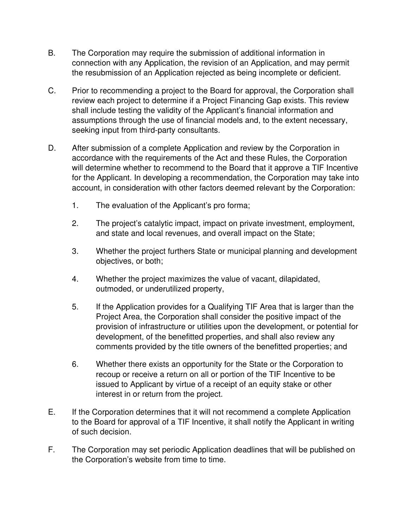- B. The Corporation may require the submission of additional information in connection with any Application, the revision of an Application, and may permit the resubmission of an Application rejected as being incomplete or deficient.
- C. Prior to recommending a project to the Board for approval, the Corporation shall review each project to determine if a Project Financing Gap exists. This review shall include testing the validity of the Applicant's financial information and assumptions through the use of financial models and, to the extent necessary, seeking input from third-party consultants.
- D. After submission of a complete Application and review by the Corporation in accordance with the requirements of the Act and these Rules, the Corporation will determine whether to recommend to the Board that it approve a TIF Incentive for the Applicant. In developing a recommendation, the Corporation may take into account, in consideration with other factors deemed relevant by the Corporation:
	- 1. The evaluation of the Applicant's pro forma;
	- 2. The project's catalytic impact, impact on private investment, employment, and state and local revenues, and overall impact on the State;
	- 3. Whether the project furthers State or municipal planning and development objectives, or both;
	- 4. Whether the project maximizes the value of vacant, dilapidated, outmoded, or underutilized property,
	- 5. If the Application provides for a Qualifying TIF Area that is larger than the Project Area, the Corporation shall consider the positive impact of the provision of infrastructure or utilities upon the development, or potential for development, of the benefitted properties, and shall also review any comments provided by the title owners of the benefitted properties; and
	- 6. Whether there exists an opportunity for the State or the Corporation to recoup or receive a return on all or portion of the TIF Incentive to be issued to Applicant by virtue of a receipt of an equity stake or other interest in or return from the project.
- E. If the Corporation determines that it will not recommend a complete Application to the Board for approval of a TIF Incentive, it shall notify the Applicant in writing of such decision.
- F. The Corporation may set periodic Application deadlines that will be published on the Corporation's website from time to time.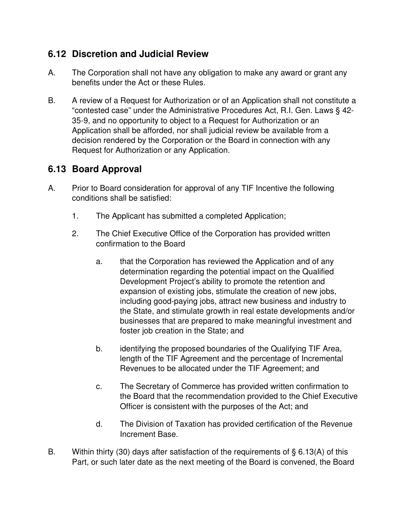# **6.12 Discretion and Judicial Review**

- A. The Corporation shall not have any obligation to make any award or grant any benefits under the Act or these Rules.
- B. A review of a Request for Authorization or of an Application shall not constitute a "contested case" under the Administrative Procedures Act, R.I. Gen. Laws § 42- 35-9, and no opportunity to object to a Request for Authorization or an Application shall be afforded, nor shall judicial review be available from a decision rendered by the Corporation or the Board in connection with any Request for Authorization or any Application.

# **6.13 Board Approval**

- A. Prior to Board consideration for approval of any TIF Incentive the following conditions shall be satisfied:
	- 1. The Applicant has submitted a completed Application;
	- 2. The Chief Executive Office of the Corporation has provided written confirmation to the Board
		- a. that the Corporation has reviewed the Application and of any determination regarding the potential impact on the Qualified Development Project's ability to promote the retention and expansion of existing jobs, stimulate the creation of new jobs, including good-paying jobs, attract new business and industry to the State, and stimulate growth in real estate developments and/or businesses that are prepared to make meaningful investment and foster job creation in the State; and
		- b. identifying the proposed boundaries of the Qualifying TIF Area, length of the TIF Agreement and the percentage of Incremental Revenues to be allocated under the TIF Agreement; and
		- c. The Secretary of Commerce has provided written confirmation to the Board that the recommendation provided to the Chief Executive Officer is consistent with the purposes of the Act; and
		- d. The Division of Taxation has provided certification of the Revenue Increment Base.
- B. Within thirty (30) days after satisfaction of the requirements of § 6.13(A) of this Part, or such later date as the next meeting of the Board is convened, the Board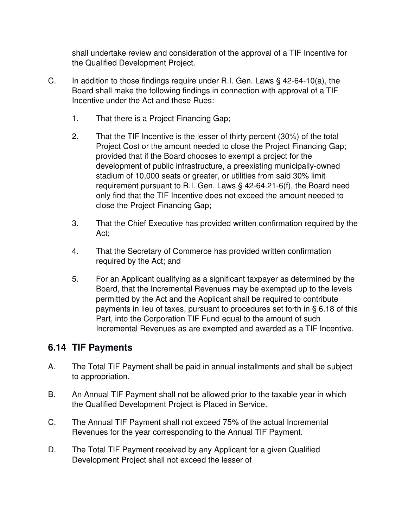shall undertake review and consideration of the approval of a TIF Incentive for the Qualified Development Project.

- C. In addition to those findings require under R.I. Gen. Laws  $\S$  42-64-10(a), the Board shall make the following findings in connection with approval of a TIF Incentive under the Act and these Rues:
	- 1. That there is a Project Financing Gap;
	- 2. That the TIF Incentive is the lesser of thirty percent (30%) of the total Project Cost or the amount needed to close the Project Financing Gap; provided that if the Board chooses to exempt a project for the development of public infrastructure, a preexisting municipally-owned stadium of 10,000 seats or greater, or utilities from said 30% limit requirement pursuant to R.I. Gen. Laws § 42-64.21-6(f), the Board need only find that the TIF Incentive does not exceed the amount needed to close the Project Financing Gap;
	- 3. That the Chief Executive has provided written confirmation required by the Act;
	- 4. That the Secretary of Commerce has provided written confirmation required by the Act; and
	- 5. For an Applicant qualifying as a significant taxpayer as determined by the Board, that the Incremental Revenues may be exempted up to the levels permitted by the Act and the Applicant shall be required to contribute payments in lieu of taxes, pursuant to procedures set forth in § 6.18 of this Part, into the Corporation TIF Fund equal to the amount of such Incremental Revenues as are exempted and awarded as a TIF Incentive.

### **6.14 TIF Payments**

- A. The Total TIF Payment shall be paid in annual installments and shall be subject to appropriation.
- B. An Annual TIF Payment shall not be allowed prior to the taxable year in which the Qualified Development Project is Placed in Service.
- C. The Annual TIF Payment shall not exceed 75% of the actual Incremental Revenues for the year corresponding to the Annual TIF Payment.
- D. The Total TIF Payment received by any Applicant for a given Qualified Development Project shall not exceed the lesser of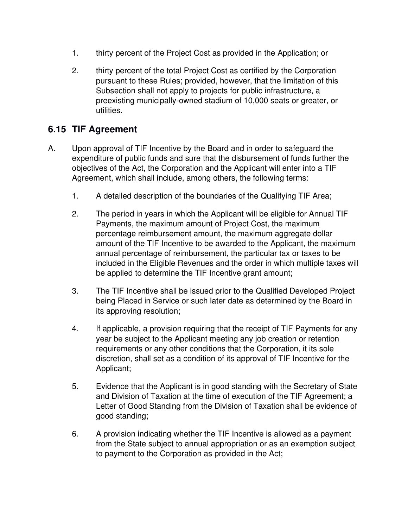- 1. thirty percent of the Project Cost as provided in the Application; or
- 2. thirty percent of the total Project Cost as certified by the Corporation pursuant to these Rules; provided, however, that the limitation of this Subsection shall not apply to projects for public infrastructure, a preexisting municipally-owned stadium of 10,000 seats or greater, or utilities.

# **6.15 TIF Agreement**

- A. Upon approval of TIF Incentive by the Board and in order to safeguard the expenditure of public funds and sure that the disbursement of funds further the objectives of the Act, the Corporation and the Applicant will enter into a TIF Agreement, which shall include, among others, the following terms:
	- 1. A detailed description of the boundaries of the Qualifying TIF Area;
	- 2. The period in years in which the Applicant will be eligible for Annual TIF Payments, the maximum amount of Project Cost, the maximum percentage reimbursement amount, the maximum aggregate dollar amount of the TIF Incentive to be awarded to the Applicant, the maximum annual percentage of reimbursement, the particular tax or taxes to be included in the Eligible Revenues and the order in which multiple taxes will be applied to determine the TIF Incentive grant amount;
	- 3. The TIF Incentive shall be issued prior to the Qualified Developed Project being Placed in Service or such later date as determined by the Board in its approving resolution;
	- 4. If applicable, a provision requiring that the receipt of TIF Payments for any year be subject to the Applicant meeting any job creation or retention requirements or any other conditions that the Corporation, it its sole discretion, shall set as a condition of its approval of TIF Incentive for the Applicant;
	- 5. Evidence that the Applicant is in good standing with the Secretary of State and Division of Taxation at the time of execution of the TIF Agreement; a Letter of Good Standing from the Division of Taxation shall be evidence of good standing;
	- 6. A provision indicating whether the TIF Incentive is allowed as a payment from the State subject to annual appropriation or as an exemption subject to payment to the Corporation as provided in the Act;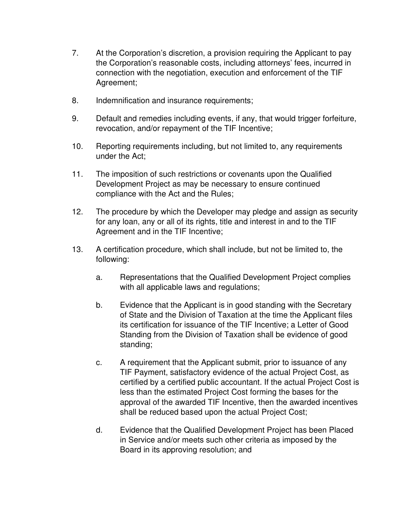- 7. At the Corporation's discretion, a provision requiring the Applicant to pay the Corporation's reasonable costs, including attorneys' fees, incurred in connection with the negotiation, execution and enforcement of the TIF Agreement;
- 8. Indemnification and insurance requirements;
- 9. Default and remedies including events, if any, that would trigger forfeiture, revocation, and/or repayment of the TIF Incentive;
- 10. Reporting requirements including, but not limited to, any requirements under the Act;
- 11. The imposition of such restrictions or covenants upon the Qualified Development Project as may be necessary to ensure continued compliance with the Act and the Rules;
- 12. The procedure by which the Developer may pledge and assign as security for any loan, any or all of its rights, title and interest in and to the TIF Agreement and in the TIF Incentive;
- 13. A certification procedure, which shall include, but not be limited to, the following:
	- a. Representations that the Qualified Development Project complies with all applicable laws and regulations;
	- b. Evidence that the Applicant is in good standing with the Secretary of State and the Division of Taxation at the time the Applicant files its certification for issuance of the TIF Incentive; a Letter of Good Standing from the Division of Taxation shall be evidence of good standing;
	- c. A requirement that the Applicant submit, prior to issuance of any TIF Payment, satisfactory evidence of the actual Project Cost, as certified by a certified public accountant. If the actual Project Cost is less than the estimated Project Cost forming the bases for the approval of the awarded TIF Incentive, then the awarded incentives shall be reduced based upon the actual Project Cost;
	- d. Evidence that the Qualified Development Project has been Placed in Service and/or meets such other criteria as imposed by the Board in its approving resolution; and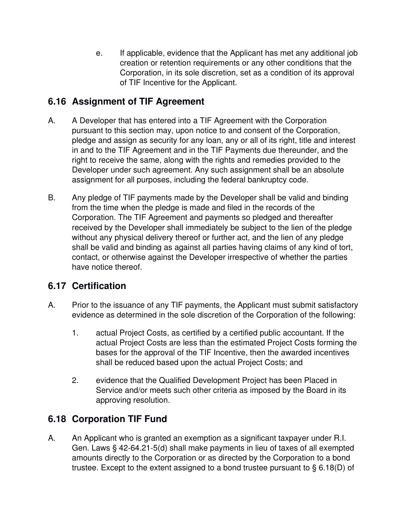e. If applicable, evidence that the Applicant has met any additional job creation or retention requirements or any other conditions that the Corporation, in its sole discretion, set as a condition of its approval of TIF Incentive for the Applicant.

# **6.16 Assignment of TIF Agreement**

- A. A Developer that has entered into a TIF Agreement with the Corporation pursuant to this section may, upon notice to and consent of the Corporation, pledge and assign as security for any loan, any or all of its right, title and interest in and to the TIF Agreement and in the TIF Payments due thereunder, and the right to receive the same, along with the rights and remedies provided to the Developer under such agreement. Any such assignment shall be an absolute assignment for all purposes, including the federal bankruptcy code.
- B. Any pledge of TIF payments made by the Developer shall be valid and binding from the time when the pledge is made and filed in the records of the Corporation. The TIF Agreement and payments so pledged and thereafter received by the Developer shall immediately be subject to the lien of the pledge without any physical delivery thereof or further act, and the lien of any pledge shall be valid and binding as against all parties having claims of any kind of tort, contact, or otherwise against the Developer irrespective of whether the parties have notice thereof.

# **6.17 Certification**

- A. Prior to the issuance of any TIF payments, the Applicant must submit satisfactory evidence as determined in the sole discretion of the Corporation of the following:
	- 1. actual Project Costs, as certified by a certified public accountant. If the actual Project Costs are less than the estimated Project Costs forming the bases for the approval of the TIF Incentive, then the awarded incentives shall be reduced based upon the actual Project Costs; and
	- 2. evidence that the Qualified Development Project has been Placed in Service and/or meets such other criteria as imposed by the Board in its approving resolution.

# **6.18 Corporation TIF Fund**

A. An Applicant who is granted an exemption as a significant taxpayer under R.I. Gen. Laws § 42-64.21-5(d) shall make payments in lieu of taxes of all exempted amounts directly to the Corporation or as directed by the Corporation to a bond trustee. Except to the extent assigned to a bond trustee pursuant to § 6.18(D) of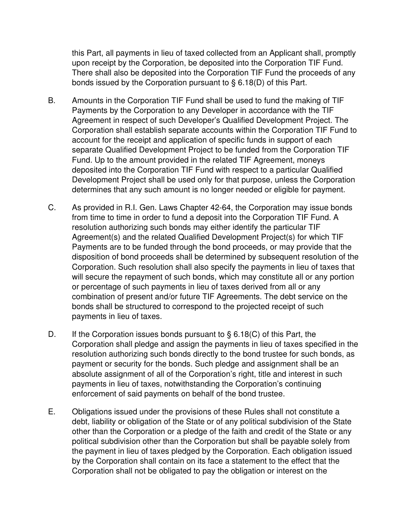this Part, all payments in lieu of taxed collected from an Applicant shall, promptly upon receipt by the Corporation, be deposited into the Corporation TIF Fund. There shall also be deposited into the Corporation TIF Fund the proceeds of any bonds issued by the Corporation pursuant to § 6.18(D) of this Part.

- B. Amounts in the Corporation TIF Fund shall be used to fund the making of TIF Payments by the Corporation to any Developer in accordance with the TIF Agreement in respect of such Developer's Qualified Development Project. The Corporation shall establish separate accounts within the Corporation TIF Fund to account for the receipt and application of specific funds in support of each separate Qualified Development Project to be funded from the Corporation TIF Fund. Up to the amount provided in the related TIF Agreement, moneys deposited into the Corporation TIF Fund with respect to a particular Qualified Development Project shall be used only for that purpose, unless the Corporation determines that any such amount is no longer needed or eligible for payment.
- C. As provided in R.I. Gen. Laws Chapter 42-64, the Corporation may issue bonds from time to time in order to fund a deposit into the Corporation TIF Fund. A resolution authorizing such bonds may either identify the particular TIF Agreement(s) and the related Qualified Development Project(s) for which TIF Payments are to be funded through the bond proceeds, or may provide that the disposition of bond proceeds shall be determined by subsequent resolution of the Corporation. Such resolution shall also specify the payments in lieu of taxes that will secure the repayment of such bonds, which may constitute all or any portion or percentage of such payments in lieu of taxes derived from all or any combination of present and/or future TIF Agreements. The debt service on the bonds shall be structured to correspond to the projected receipt of such payments in lieu of taxes.
- D. If the Corporation issues bonds pursuant to  $\S 6.18(C)$  of this Part, the Corporation shall pledge and assign the payments in lieu of taxes specified in the resolution authorizing such bonds directly to the bond trustee for such bonds, as payment or security for the bonds. Such pledge and assignment shall be an absolute assignment of all of the Corporation's right, title and interest in such payments in lieu of taxes, notwithstanding the Corporation's continuing enforcement of said payments on behalf of the bond trustee.
- E. Obligations issued under the provisions of these Rules shall not constitute a debt, liability or obligation of the State or of any political subdivision of the State other than the Corporation or a pledge of the faith and credit of the State or any political subdivision other than the Corporation but shall be payable solely from the payment in lieu of taxes pledged by the Corporation. Each obligation issued by the Corporation shall contain on its face a statement to the effect that the Corporation shall not be obligated to pay the obligation or interest on the